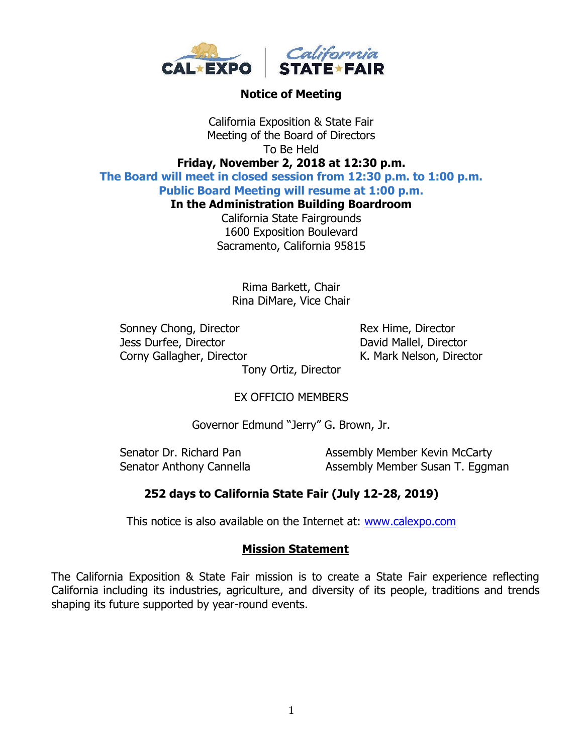

#### **Notice of Meeting**

California Exposition & State Fair Meeting of the Board of Directors To Be Held

## **Friday, November 2, 2018 at 12:30 p.m.**

**The Board will meet in closed session from 12:30 p.m. to 1:00 p.m.**

# **Public Board Meeting will resume at 1:00 p.m.**

**In the Administration Building Boardroom**

California State Fairgrounds 1600 Exposition Boulevard Sacramento, California 95815

Rima Barkett, Chair Rina DiMare, Vice Chair

Sonney Chong, Director Rex Hime, Director Jess Durfee, Director **David Mallel**, Director Corny Gallagher, Director **K. Mark Nelson, Director** 

Tony Ortiz, Director

### EX OFFICIO MEMBERS

Governor Edmund "Jerry" G. Brown, Jr.

Senator Dr. Richard Pan Assembly Member Kevin McCarty Senator Anthony Cannella **Assembly Member Susan T. Eggman** 

### **252 days to California State Fair (July 12-28, 2019)**

This notice is also available on the Internet at: [www.calexpo.com](http://www.calexpo.com/)

#### **Mission Statement**

The California Exposition & State Fair mission is to create a State Fair experience reflecting California including its industries, agriculture, and diversity of its people, traditions and trends shaping its future supported by year-round events.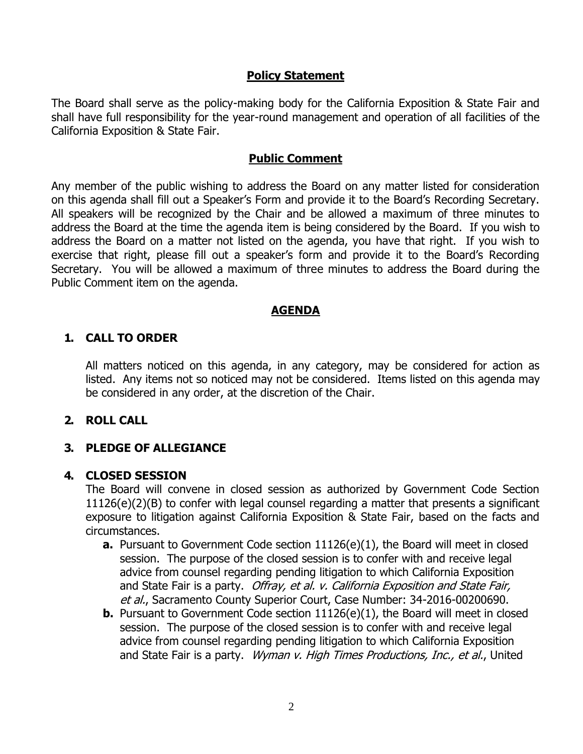#### **Policy Statement**

The Board shall serve as the policy-making body for the California Exposition & State Fair and shall have full responsibility for the year-round management and operation of all facilities of the California Exposition & State Fair.

#### **Public Comment**

Any member of the public wishing to address the Board on any matter listed for consideration on this agenda shall fill out a Speaker's Form and provide it to the Board's Recording Secretary. All speakers will be recognized by the Chair and be allowed a maximum of three minutes to address the Board at the time the agenda item is being considered by the Board. If you wish to address the Board on a matter not listed on the agenda, you have that right. If you wish to exercise that right, please fill out a speaker's form and provide it to the Board's Recording Secretary. You will be allowed a maximum of three minutes to address the Board during the Public Comment item on the agenda.

### **AGENDA**

#### **1. CALL TO ORDER**

All matters noticed on this agenda, in any category, may be considered for action as listed. Any items not so noticed may not be considered. Items listed on this agenda may be considered in any order, at the discretion of the Chair.

#### **2. ROLL CALL**

### **3. PLEDGE OF ALLEGIANCE**

#### **4. CLOSED SESSION**

The Board will convene in closed session as authorized by Government Code Section 11126(e)(2)(B) to confer with legal counsel regarding a matter that presents a significant exposure to litigation against California Exposition & State Fair, based on the facts and circumstances.

- **a.** Pursuant to Government Code section 11126(e)(1), the Board will meet in closed session. The purpose of the closed session is to confer with and receive legal advice from counsel regarding pending litigation to which California Exposition and State Fair is a party. Offray, et al. v. California Exposition and State Fair, et al., Sacramento County Superior Court, Case Number: 34-2016-00200690.
- **b.** Pursuant to Government Code section 11126(e)(1), the Board will meet in closed session. The purpose of the closed session is to confer with and receive legal advice from counsel regarding pending litigation to which California Exposition and State Fair is a party. Wyman v. High Times Productions, Inc., et al., United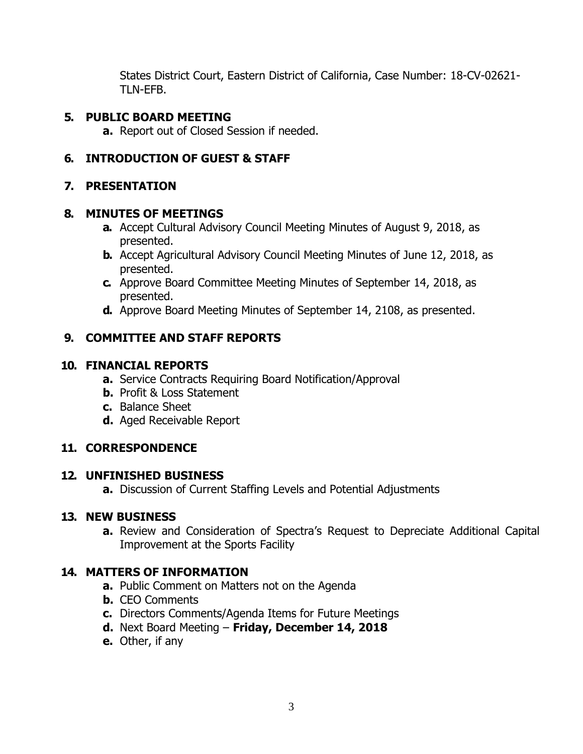States District Court, Eastern District of California, Case Number: 18-CV-02621- TLN-EFB.

## **5. PUBLIC BOARD MEETING**

**a.** Report out of Closed Session if needed.

# **6. INTRODUCTION OF GUEST & STAFF**

# **7. PRESENTATION**

### **8. MINUTES OF MEETINGS**

- **a.** Accept Cultural Advisory Council Meeting Minutes of August 9, 2018, as presented.
- **b.** Accept Agricultural Advisory Council Meeting Minutes of June 12, 2018, as presented.
- **c.** Approve Board Committee Meeting Minutes of September 14, 2018, as presented.
- **d.** Approve Board Meeting Minutes of September 14, 2108, as presented.

# **9. COMMITTEE AND STAFF REPORTS**

### **10. FINANCIAL REPORTS**

- **a.** Service Contracts Requiring Board Notification/Approval
- **b.** Profit & Loss Statement
- **c.** Balance Sheet
- **d.** Aged Receivable Report

# **11. CORRESPONDENCE**

# **12. UNFINISHED BUSINESS**

**a.** Discussion of Current Staffing Levels and Potential Adjustments

# **13. NEW BUSINESS**

**a.** Review and Consideration of Spectra's Request to Depreciate Additional Capital Improvement at the Sports Facility

# **14. MATTERS OF INFORMATION**

- **a.** Public Comment on Matters not on the Agenda
- **b.** CEO Comments
- **c.** Directors Comments/Agenda Items for Future Meetings
- **d.** Next Board Meeting **Friday, December 14, 2018**
- **e.** Other, if any